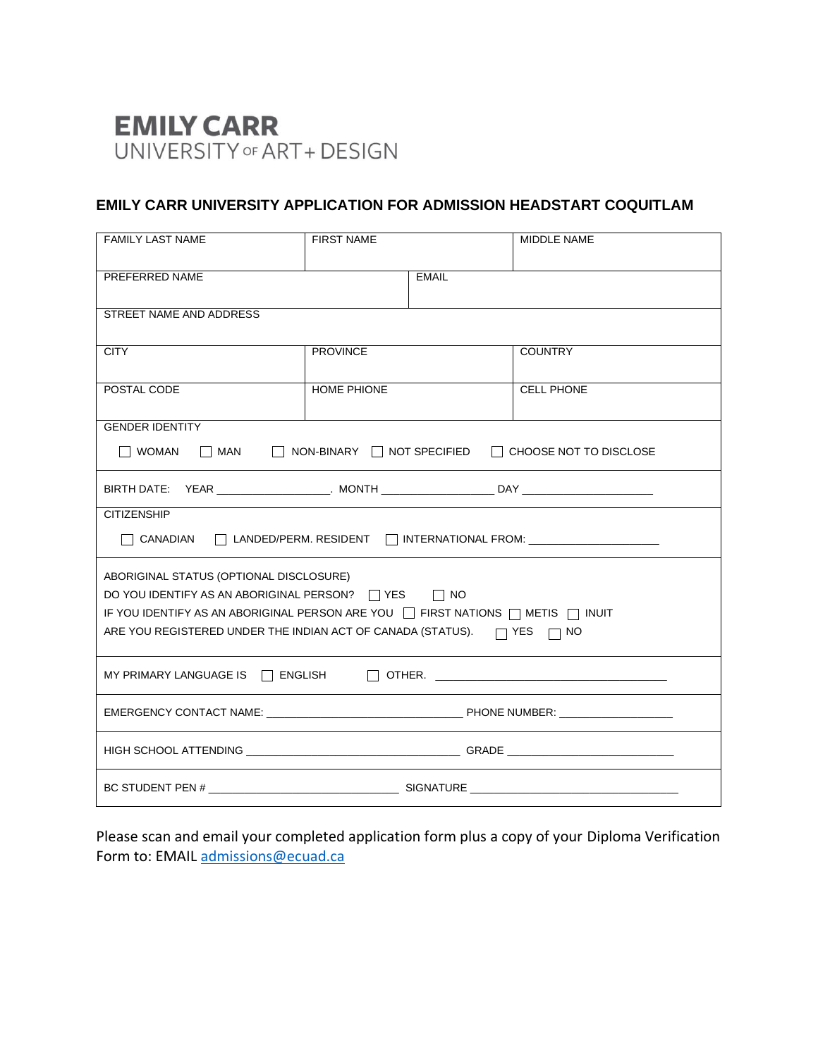# **EMILY CARR** UNIVERSITY OF ART+ DESIGN

# **EMILY CARR UNIVERSITY APPLICATION FOR ADMISSION HEADSTART COQUITLAM**

| <b>FAMILY LAST NAME</b>                                                                                                                                                                                                                                           | <b>FIRST NAME</b>  |              | <b>MIDDLE NAME</b> |  |  |
|-------------------------------------------------------------------------------------------------------------------------------------------------------------------------------------------------------------------------------------------------------------------|--------------------|--------------|--------------------|--|--|
| PREFERRED NAME                                                                                                                                                                                                                                                    |                    | <b>EMAIL</b> |                    |  |  |
| STREET NAME AND ADDRESS                                                                                                                                                                                                                                           |                    |              |                    |  |  |
| <b>CITY</b>                                                                                                                                                                                                                                                       | <b>PROVINCE</b>    |              | <b>COUNTRY</b>     |  |  |
| POSTAL CODE                                                                                                                                                                                                                                                       | <b>HOME PHIONE</b> |              | <b>CELL PHONE</b>  |  |  |
| <b>GENDER IDENTITY</b><br>MAN NON-BINARY NOT SPECIFIED CHOOSE NOT TO DISCLOSE<br>l woman                                                                                                                                                                          |                    |              |                    |  |  |
|                                                                                                                                                                                                                                                                   |                    |              |                    |  |  |
| <b>CITIZENSHIP</b><br>$\Box$ CANADIAN $\Box$ LANDED/PERM. RESIDENT $\Box$ INTERNATIONAL FROM: ____________________                                                                                                                                                |                    |              |                    |  |  |
| ABORIGINAL STATUS (OPTIONAL DISCLOSURE)<br>DO YOU IDENTIFY AS AN ABORIGINAL PERSON? □ YES □ NO<br>IF YOU IDENTIFY AS AN ABORIGINAL PERSON ARE YOU THRST NATIONS THAT IS THUIT<br>ARE YOU REGISTERED UNDER THE INDIAN ACT OF CANADA (STATUS). $\Box$ YES $\Box$ NO |                    |              |                    |  |  |
|                                                                                                                                                                                                                                                                   |                    |              |                    |  |  |
|                                                                                                                                                                                                                                                                   |                    |              |                    |  |  |
|                                                                                                                                                                                                                                                                   |                    |              |                    |  |  |
|                                                                                                                                                                                                                                                                   |                    |              |                    |  |  |

Please scan and email your completed application form plus a copy of your Diploma Verification Form to: EMAIL [admissions@ecuad.ca](mailto:admissions@ecuad.ca)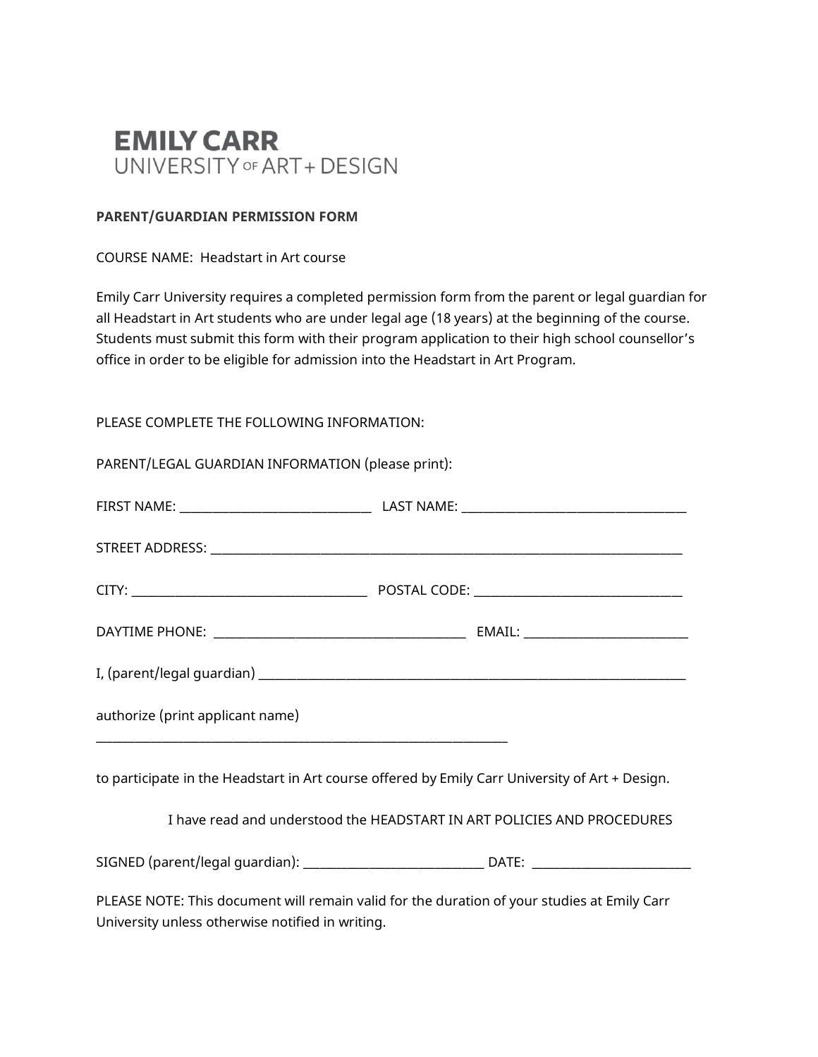

#### **PARENT/GUARDIAN PERMISSION FORM**

#### COURSE NAME: Headstart in Art course

Emily Carr University requires a completed permission form from the parent or legal guardian for all Headstart in Art students who are under legal age (18 years) at the beginning of the course. Students must submit this form with their program application to their high school counsellor's office in order to be eligible for admission into the Headstart in Art Program.

#### PLEASE COMPLETE THE FOLLOWING INFORMATION:

| PARENT/LEGAL GUARDIAN INFORMATION (please print):                                                                                                       |                                                                                                 |
|---------------------------------------------------------------------------------------------------------------------------------------------------------|-------------------------------------------------------------------------------------------------|
|                                                                                                                                                         |                                                                                                 |
|                                                                                                                                                         |                                                                                                 |
|                                                                                                                                                         |                                                                                                 |
|                                                                                                                                                         |                                                                                                 |
|                                                                                                                                                         |                                                                                                 |
| authorize (print applicant name)<br><u> 1989 - Johann John Stoff, deutscher Stoffen und der Stoffen und der Stoffen und der Stoffen und der Stoffen</u> |                                                                                                 |
|                                                                                                                                                         | to participate in the Headstart in Art course offered by Emily Carr University of Art + Design. |
|                                                                                                                                                         | I have read and understood the HEADSTART IN ART POLICIES AND PROCEDURES                         |
|                                                                                                                                                         |                                                                                                 |
| University unless otherwise notified in writing.                                                                                                        | PLEASE NOTE: This document will remain valid for the duration of your studies at Emily Carr     |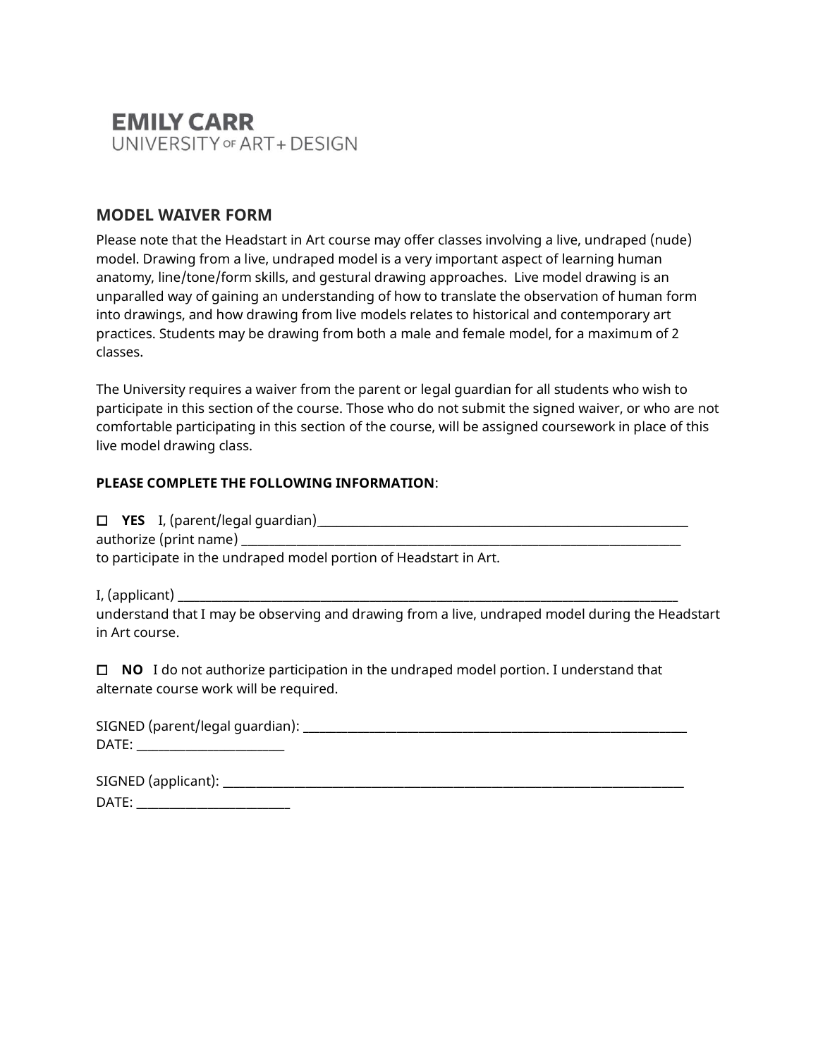

## **MODEL WAIVER FORM**

Please note that the Headstart in Art course may offer classes involving a live, undraped (nude) model. Drawing from a live, undraped model is a very important aspect of learning human anatomy, line/tone/form skills, and gestural drawing approaches. Live model drawing is an unparalled way of gaining an understanding of how to translate the observation of human form into drawings, and how drawing from live models relates to historical and contemporary art practices. Students may be drawing from both a male and female model, for a maximum of 2 classes.

The University requires a waiver from the parent or legal guardian for all students who wish to participate in this section of the course. Those who do not submit the signed waiver, or who are not comfortable participating in this section of the course, will be assigned coursework in place of this live model drawing class.

#### **PLEASE COMPLETE THE FOLLOWING INFORMATION**:

 $\Box$  **YES** I, (parent/legal guardian)  $\Box$ 

authorize (print name) \_\_\_\_\_\_\_\_\_\_\_\_\_\_\_\_\_\_\_\_\_\_\_\_\_\_\_\_\_\_\_\_\_\_\_\_\_\_\_\_\_\_\_\_\_\_\_\_\_\_\_\_\_\_\_\_\_\_\_\_\_\_\_\_\_\_\_\_\_\_\_\_\_\_\_\_\_\_\_\_

to participate in the undraped model portion of Headstart in Art.

I, (applicant)  $\Box$ 

understand that I may be observing and drawing from a live, undraped model during the Headstart in Art course.

 **NO** I do not authorize participation in the undraped model portion. I understand that alternate course work will be required.

| SIGNED (parent/legal guardian): |  |  |
|---------------------------------|--|--|
| DATE:                           |  |  |
|                                 |  |  |

| SIGNED (applicant): |  |
|---------------------|--|
| DATE:               |  |